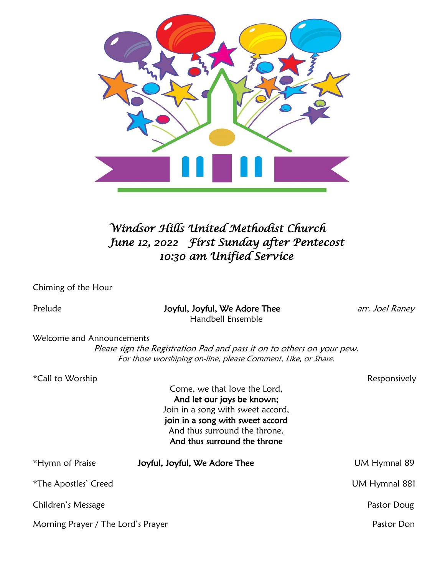

# *Windsor Hills United Methodist Church June 12, 2022 First Sunday after Pentecost 10:30 am Unified Service*

Chiming of the Hour

Prelude **Access 20 Finds 10 Joyful, Joyful, We Adore Thee** *Access Love Laney arr. Joel Raney* Handbell Ensemble

Welcome and Announcements

Please sign the Registration Pad and pass it on to others on your pew. For those worshiping on-line, please Comment, Like, or Share.

| <i>*</i> Call to Worship           |                                                            | Responsively  |
|------------------------------------|------------------------------------------------------------|---------------|
|                                    | Come, we that love the Lord,<br>And let our joys be known; |               |
|                                    | Join in a song with sweet accord,                          |               |
|                                    | join in a song with sweet accord                           |               |
|                                    | And thus surround the throne,                              |               |
|                                    | And thus surround the throne                               |               |
| *Hymn of Praise                    | Joyful, Joyful, We Adore Thee                              | UM Hymnal 89  |
| <i>*The Apostles' Creed</i>        |                                                            | UM Hymnal 881 |
| Children's Message                 |                                                            | Pastor Doug   |
| Morning Prayer / The Lord's Prayer |                                                            | Pastor Don    |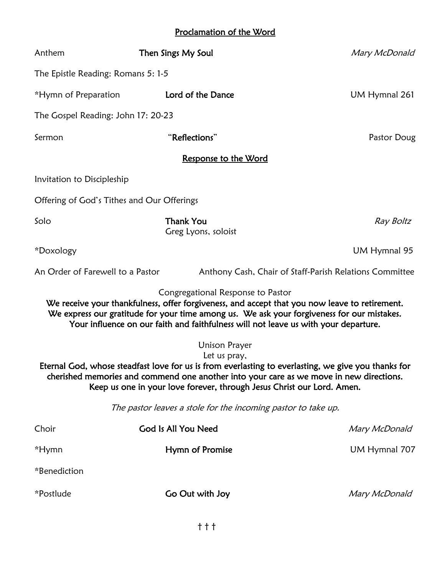## Proclamation of the Word

| Anthem                                                                                                                                                                                                                                                                                                           | Then Sings My Soul                                                                                                       | Mary McDonald                                                                                                                                                                               |  |  |
|------------------------------------------------------------------------------------------------------------------------------------------------------------------------------------------------------------------------------------------------------------------------------------------------------------------|--------------------------------------------------------------------------------------------------------------------------|---------------------------------------------------------------------------------------------------------------------------------------------------------------------------------------------|--|--|
| The Epistle Reading: Romans 5: 1-5                                                                                                                                                                                                                                                                               |                                                                                                                          |                                                                                                                                                                                             |  |  |
| *Hymn of Preparation                                                                                                                                                                                                                                                                                             | Lord of the Dance                                                                                                        | UM Hymnal 261                                                                                                                                                                               |  |  |
| The Gospel Reading: John 17: 20-23                                                                                                                                                                                                                                                                               |                                                                                                                          |                                                                                                                                                                                             |  |  |
| Sermon                                                                                                                                                                                                                                                                                                           | "Reflections"                                                                                                            | Pastor Doug                                                                                                                                                                                 |  |  |
|                                                                                                                                                                                                                                                                                                                  | <u>Response to the Word</u>                                                                                              |                                                                                                                                                                                             |  |  |
| Invitation to Discipleship                                                                                                                                                                                                                                                                                       |                                                                                                                          |                                                                                                                                                                                             |  |  |
| Offering of God's Tithes and Our Offerings                                                                                                                                                                                                                                                                       |                                                                                                                          |                                                                                                                                                                                             |  |  |
| Solo                                                                                                                                                                                                                                                                                                             | <b>Thank You</b><br>Greg Lyons, soloist                                                                                  | Ray Boltz                                                                                                                                                                                   |  |  |
| *Doxology                                                                                                                                                                                                                                                                                                        |                                                                                                                          | UM Hymnal 95                                                                                                                                                                                |  |  |
| An Order of Farewell to a Pastor                                                                                                                                                                                                                                                                                 |                                                                                                                          | Anthony Cash, Chair of Staff-Parish Relations Committee                                                                                                                                     |  |  |
|                                                                                                                                                                                                                                                                                                                  | Congregational Response to Pastor<br>Your influence on our faith and faithfulness will not leave us with your departure. | We receive your thankfulness, offer forgiveness, and accept that you now leave to retirement.<br>We express our gratitude for your time among us. We ask your forgiveness for our mistakes. |  |  |
| <b>Unison Prayer</b><br>Let us pray,<br>Eternal God, whose steadfast love for us is from everlasting to everlasting, we give you thanks for<br>cherished memories and commend one another into your care as we move in new directions.<br>Keep us one in your love forever, through Jesus Christ our Lord. Amen. |                                                                                                                          |                                                                                                                                                                                             |  |  |
|                                                                                                                                                                                                                                                                                                                  | The pastor leaves a stole for the incoming pastor to take up.                                                            |                                                                                                                                                                                             |  |  |
| Choir                                                                                                                                                                                                                                                                                                            | God Is All You Need                                                                                                      | Mary McDonald                                                                                                                                                                               |  |  |
| *Hymn                                                                                                                                                                                                                                                                                                            | Hymn of Promise                                                                                                          | UM Hymnal 707                                                                                                                                                                               |  |  |
| *Benediction                                                                                                                                                                                                                                                                                                     |                                                                                                                          |                                                                                                                                                                                             |  |  |
| *Postlude                                                                                                                                                                                                                                                                                                        | Go Out with Joy                                                                                                          | Mary McDonald                                                                                                                                                                               |  |  |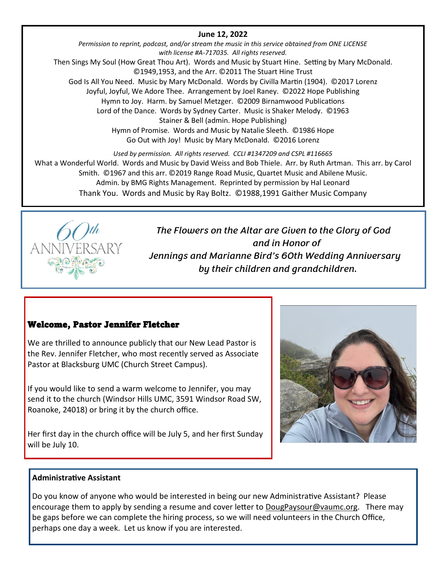## **June 12, 2022**

*Permission to reprint, podcast, and/or stream the music in this service obtained from ONE LICENSE with license #A-717035. All rights reserved.* Then Sings My Soul (How Great Thou Art). Words and Music by Stuart Hine. Setting by Mary McDonald. ©1949,1953, and the Arr. ©2011 The Stuart Hine Trust God Is All You Need. Music by Mary McDonald. Words by Civilla Martin (1904). ©2017 Lorenz Joyful, Joyful, We Adore Thee. Arrangement by Joel Raney. ©2022 Hope Publishing Hymn to Joy. Harm. by Samuel Metzger. ©2009 Birnamwood Publications Lord of the Dance. Words by Sydney Carter. Music is Shaker Melody. ©1963 Stainer & Bell (admin. Hope Publishing) Hymn of Promise. Words and Music by Natalie Sleeth. ©1986 Hope Go Out with Joy! Music by Mary McDonald. ©2016 Lorenz

*Used by permission. All rights reserved. CCLI #1347209 and CSPL #116665* What a Wonderful World. Words and Music by David Weiss and Bob Thiele. Arr. by Ruth Artman. This arr. by Carol Smith. ©1967 and this arr. ©2019 Range Road Music, Quartet Music and Abilene Music. Admin. by BMG Rights Management. Reprinted by permission by Hal Leonard Thank You. Words and Music by Ray Boltz. ©1988,1991 Gaither Music Company



*The Flowers on the Altar are Given to the Glory of God and in Honor of Jennings and Marianne Bird's 60th Wedding Anniversary by their children and grandchildren.*

## Welcome, Pastor Jennifer Fletcher

We are thrilled to announce publicly that our New Lead Pastor is the Rev. Jennifer Fletcher, who most recently served as Associate Pastor at Blacksburg UMC (Church Street Campus).

If you would like to send a warm welcome to Jennifer, you may send it to the church (Windsor Hills UMC, 3591 Windsor Road SW, Roanoke, 24018) or bring it by the church office.

Her first day in the church office will be July 5, and her first Sunday will be July 10.



### **Administrative Assistant**

Do you know of anyone who would be interested in being our new Administrative Assistant? Please encourage them to apply by sending a resume and cover letter to DougPaysour@vaumc.org. There may be gaps before we can complete the hiring process, so we will need volunteers in the Church Office, perhaps one day a week. Let us know if you are interested.